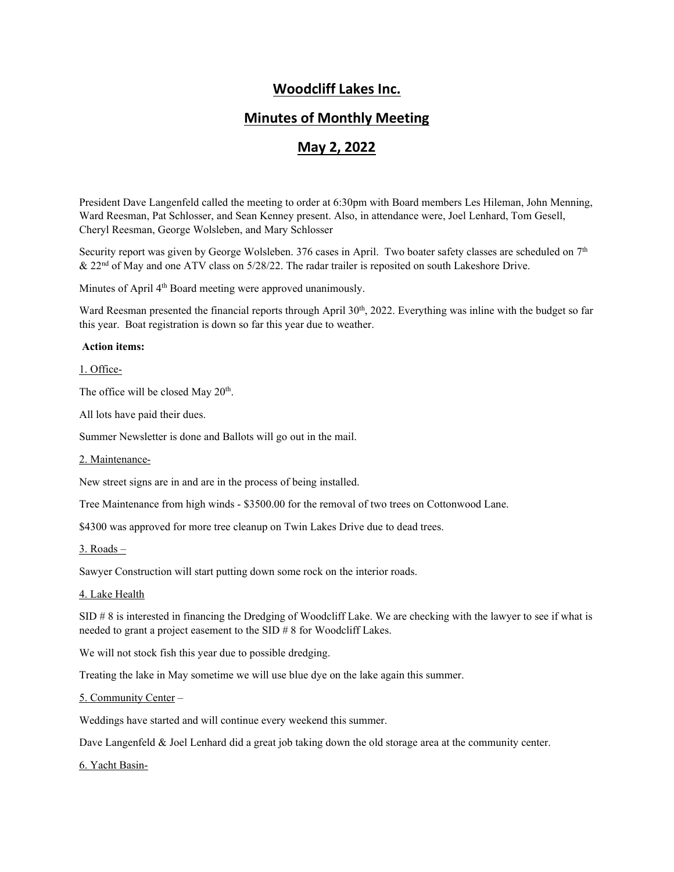# **Woodcliff Lakes Inc.**

# **Minutes of Monthly Meeting**

# **May 2, 2022**

President Dave Langenfeld called the meeting to order at 6:30pm with Board members Les Hileman, John Menning, Ward Reesman, Pat Schlosser, and Sean Kenney present. Also, in attendance were, Joel Lenhard, Tom Gesell, Cheryl Reesman, George Wolsleben, and Mary Schlosser

Security report was given by George Wolsleben. 376 cases in April. Two boater safety classes are scheduled on  $7<sup>th</sup>$ & 22nd of May and one ATV class on 5/28/22. The radar trailer is reposited on south Lakeshore Drive.

Minutes of April 4<sup>th</sup> Board meeting were approved unanimously.

Ward Reesman presented the financial reports through April  $30<sup>th</sup>$ , 2022. Everything was inline with the budget so far this year. Boat registration is down so far this year due to weather.

# **Action items:**

1. Office-

The office will be closed May 20<sup>th</sup>.

All lots have paid their dues.

Summer Newsletter is done and Ballots will go out in the mail.

2. Maintenance-

New street signs are in and are in the process of being installed.

Tree Maintenance from high winds - \$3500.00 for the removal of two trees on Cottonwood Lane.

\$4300 was approved for more tree cleanup on Twin Lakes Drive due to dead trees.

 $3.$  Roads  $-$ 

Sawyer Construction will start putting down some rock on the interior roads.

### 4. Lake Health

SID # 8 is interested in financing the Dredging of Woodcliff Lake. We are checking with the lawyer to see if what is needed to grant a project easement to the SID # 8 for Woodcliff Lakes.

We will not stock fish this year due to possible dredging.

Treating the lake in May sometime we will use blue dye on the lake again this summer.

#### 5. Community Center –

Weddings have started and will continue every weekend this summer.

Dave Langenfeld & Joel Lenhard did a great job taking down the old storage area at the community center.

#### 6. Yacht Basin-